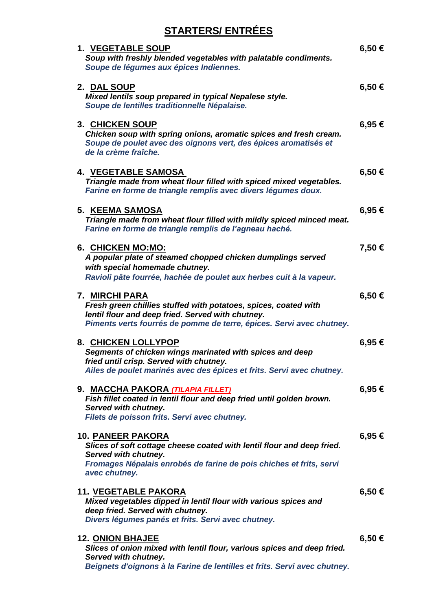# **STARTERS/ ENTRÉES**

| <b>1. VEGETABLE SOUP</b><br>Soup with freshly blended vegetables with palatable condiments.<br>Soupe de légumes aux épices Indiennes.                                                                              | 6,50€      |
|--------------------------------------------------------------------------------------------------------------------------------------------------------------------------------------------------------------------|------------|
| 2. DAL SOUP<br>Mixed lentils soup prepared in typical Nepalese style.<br>Soupe de lentilles traditionnelle Népalaise.                                                                                              | 6,50€      |
| <b>3. CHICKEN SOUP</b><br>Chicken soup with spring onions, aromatic spices and fresh cream.<br>Soupe de poulet avec des oignons vert, des épices aromatisés et<br>de la crème fraîche.                             | $6,95 \in$ |
| <b>4. VEGETABLE SAMOSA</b><br>Triangle made from wheat flour filled with spiced mixed vegetables.<br>Farine en forme de triangle remplis avec divers légumes doux.                                                 | 6,50€      |
| <b>5. KEEMA SAMOSA</b><br>Triangle made from wheat flour filled with mildly spiced minced meat.<br>Farine en forme de triangle remplis de l'agneau haché.                                                          | 6,95€      |
| 6. CHICKEN MO:MO:<br>A popular plate of steamed chopped chicken dumplings served<br>with special homemade chutney.<br>Ravioli pâte fourrée, hachée de poulet aux herbes cuit à la vapeur.                          | 7,50€      |
| 7. MIRCHI PARA<br>Fresh green chillies stuffed with potatoes, spices, coated with<br>lentil flour and deep fried. Served with chutney.<br>Piments verts fourrés de pomme de terre, épices. Servi avec chutney.     | 6,50€      |
| 8. CHICKEN LOLLYPOP<br>Segments of chicken wings marinated with spices and deep<br>fried until crisp. Served with chutney.<br>Ailes de poulet marinés avec des épices et frits. Servi avec chutney.                | 6,95€      |
| 9. <u>MACCHA PAKORA <i>(TILAPIA FILLET)</i></u><br>Fish fillet coated in lentil flour and deep fried until golden brown.<br>Served with chutney.<br>Filets de poisson frits. Servi avec chutney.                   | 6,95€      |
| <b>10. PANEER PAKORA</b><br>Slices of soft cottage cheese coated with lentil flour and deep fried.<br>Served with chutney.<br>Fromages Népalais enrobés de farine de pois chiches et frits, servi<br>avec chutney. | 6,95€      |
| <b>11. VEGETABLE PAKORA</b><br>Mixed vegetables dipped in lentil flour with various spices and<br>deep fried. Served with chutney.<br>Divers légumes panés et frits. Servi avec chutney.                           | 6,50 €     |
| <b>12. ONION BHAJEE</b><br>Slices of onion mixed with lentil flour, various spices and deep fried.<br>Served with chutney.<br>Beignets d'oignons à la Farine de lentilles et frits. Servi avec chutney.            | 6,50 €     |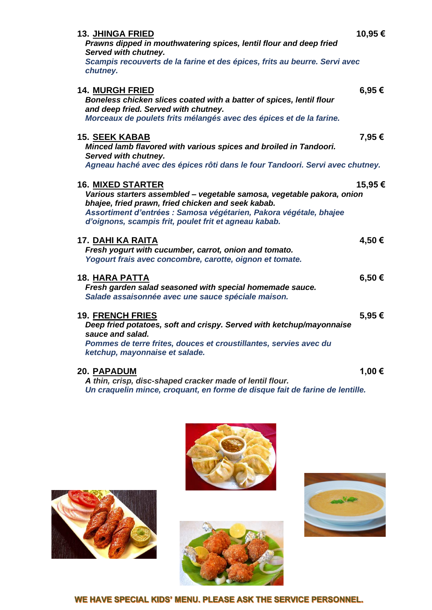| <b>13. JHINGA FRIED</b><br>Prawns dipped in mouthwatering spices, lentil flour and deep fried<br>Served with chutney.<br>Scampis recouverts de la farine et des épices, frits au beurre. Servi avec<br>chutney.                                                                         | 10,95€ |
|-----------------------------------------------------------------------------------------------------------------------------------------------------------------------------------------------------------------------------------------------------------------------------------------|--------|
| <b>14. MURGH FRIED</b><br>Boneless chicken slices coated with a batter of spices, lentil flour<br>and deep fried. Served with chutney.<br>Morceaux de poulets frits mélangés avec des épices et de la farine.                                                                           | 6,95€  |
| <b>15. SEEK KABAB</b><br>Minced lamb flavored with various spices and broiled in Tandoori.<br>Served with chutney.<br>Agneau haché avec des épices rôti dans le four Tandoori. Servi avec chutney.                                                                                      | 7,95 € |
| <u>16. MIXED STARTER</u><br>Various starters assembled - vegetable samosa, vegetable pakora, onion<br>bhajee, fried prawn, fried chicken and seek kabab.<br>Assortiment d'entrées : Samosa végétarien, Pakora végétale, bhajee<br>d'oignons, scampis frit, poulet frit et agneau kabab. | 15,95€ |
| <u>17. DAHI KA RAITA</u><br>Fresh yogurt with cucumber, carrot, onion and tomato.<br>Yogourt frais avec concombre, carotte, oignon et tomate.                                                                                                                                           | 4,50€  |
| <b>18. HARA PATTA</b><br>Fresh garden salad seasoned with special homemade sauce.<br>Salade assaisonnée avec une sauce spéciale maison.                                                                                                                                                 | 6,50€  |
| <b>19. FRENCH FRIES</b><br>Deep fried potatoes, soft and crispy. Served with ketchup/mayonnaise<br>sauce and salad.<br>Pommes de terre frites, douces et croustillantes, servies avec du<br>ketchup, mayonnaise et salade.                                                              | 5,95€  |
| <b>20. PAPADUM</b><br>A thin, crisp, disc-shaped cracker made of lentil flour.                                                                                                                                                                                                          | 1,00 € |

*Un craquelin mince, croquant, en forme de disque fait de farine de lentille.*







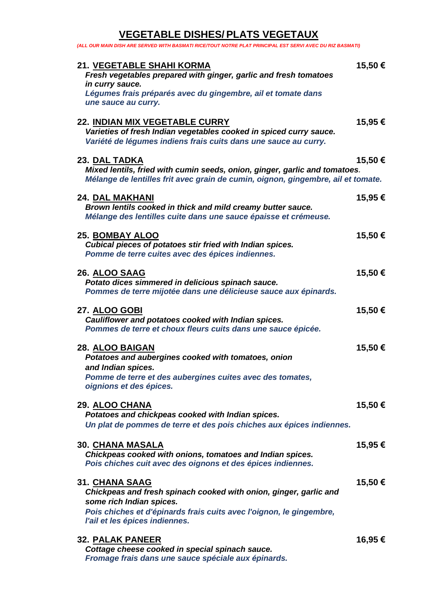#### **VEGETABLE DISHES/ PLATS VEGETAUX** *(ALL OUR MAIN DISH ARE SERVED WITH BASMATI RICE/TOUT NOTRE PLAT PRINCIPAL EST SERVI AVEC DU RIZ BASMATI)*

| 21. VEGETABLE SHAHI KORMA<br>Fresh vegetables prepared with ginger, garlic and fresh tomatoes                                                                                                                            | 15,50 € |
|--------------------------------------------------------------------------------------------------------------------------------------------------------------------------------------------------------------------------|---------|
| in curry sauce.<br>Légumes frais préparés avec du gingembre, ail et tomate dans<br>une sauce au curry.                                                                                                                   |         |
| <b>22. INDIAN MIX VEGETABLE CURRY</b><br>Varieties of fresh Indian vegetables cooked in spiced curry sauce.<br>Variété de légumes indiens frais cuits dans une sauce au curry.                                           | 15,95 € |
| 23. DAL TADKA<br>Mixed lentils, fried with cumin seeds, onion, ginger, garlic and tomatoes.<br>Mélange de lentilles frit avec grain de cumin, oignon, gingembre, ail et tomate.                                          | 15,50€  |
| <b>24. DAL MAKHANI</b><br>Brown lentils cooked in thick and mild creamy butter sauce.<br>Mélange des lentilles cuite dans une sauce épaisse et crémeuse.                                                                 | 15,95€  |
| <b>25. BOMBAY ALOO</b><br>Cubical pieces of potatoes stir fried with Indian spices.<br>Pomme de terre cuites avec des épices indiennes.                                                                                  | 15,50€  |
| <b>26. ALOO SAAG</b><br>Potato dices simmered in delicious spinach sauce.<br>Pommes de terre mijotée dans une délicieuse sauce aux épinards.                                                                             | 15,50 € |
| <u>27. ALOO GOBI</u><br>Cauliflower and potatoes cooked with Indian spices.<br>Pommes de terre et choux fleurs cuits dans une sauce épicée.                                                                              | 15,50€  |
| 28. ALOO BAIGAN<br>Potatoes and aubergines cooked with tomatoes, onion<br>and Indian spices.<br>Pomme de terre et des aubergines cuites avec des tomates,                                                                | 15,50€  |
| oignions et des épices.                                                                                                                                                                                                  |         |
| 29. ALOO CHANA<br>Potatoes and chickpeas cooked with Indian spices.<br>Un plat de pommes de terre et des pois chiches aux épices indiennes.                                                                              | 15,50 € |
| <u>30. CHANA MASALA</u><br>Chickpeas cooked with onions, tomatoes and Indian spices.<br>Pois chiches cuit avec des oignons et des épices indiennes.                                                                      | 15,95 € |
| 31. CHANA SAAG<br>Chickpeas and fresh spinach cooked with onion, ginger, garlic and<br>some rich Indian spices.<br>Pois chiches et d'épinards frais cuits avec l'oignon, le gingembre,<br>l'ail et les épices indiennes. | 15,50€  |
|                                                                                                                                                                                                                          |         |
| <b>32. PALAK PANEER</b><br>Cottage cheese cooked in special spinach sauce.                                                                                                                                               | 16,95 € |

*Fromage frais dans une sauce spéciale aux épinards.*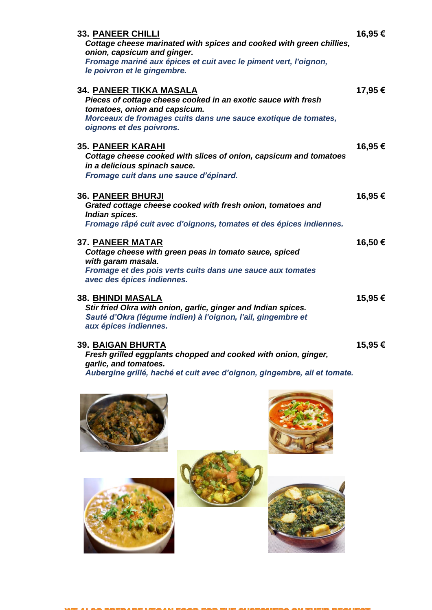| <b>33. PANEER CHILLI</b>                                                              | 16,95€  |
|---------------------------------------------------------------------------------------|---------|
| Cottage cheese marinated with spices and cooked with green chillies,                  |         |
| onion, capsicum and ginger.                                                           |         |
| Fromage mariné aux épices et cuit avec le piment vert, l'oignon,                      |         |
| le poivron et le gingembre.                                                           |         |
| 34. PANEER TIKKA MASALA                                                               | 17,95 € |
| Pieces of cottage cheese cooked in an exotic sauce with fresh                         |         |
| tomatoes, onion and capsicum.                                                         |         |
| Morceaux de fromages cuits dans une sauce exotique de tomates,                        |         |
| oignons et des poivrons.                                                              |         |
| <b>35. PANEER KARAHI</b>                                                              | 16,95 € |
| Cottage cheese cooked with slices of onion, capsicum and tomatoes                     |         |
| in a delicious spinach sauce.                                                         |         |
| Fromage cuit dans une sauce d'épinard.                                                |         |
|                                                                                       |         |
| <b>36. PANEER BHURJI</b>                                                              | 16,95 € |
| Grated cottage cheese cooked with fresh onion, tomatoes and                           |         |
| Indian spices.                                                                        |         |
| Fromage râpé cuit avec d'oignons, tomates et des épices indiennes.                    |         |
| 37. PANEER MATAR                                                                      | 16,50€  |
| Cottage cheese with green peas in tomato sauce, spiced                                |         |
| with garam masala.                                                                    |         |
| Fromage et des pois verts cuits dans une sauce aux tomates                            |         |
| avec des épices indiennes.                                                            |         |
|                                                                                       |         |
| 38. <u>BHINDI MASALA</u>                                                              | 15,95 € |
| Stir fried Okra with onion, garlic, ginger and Indian spices.                         |         |
| Sauté d'Okra (légume indien) à l'oignon, l'ail, gingembre et<br>aux épices indiennes. |         |
|                                                                                       |         |
| <b>39. BAIGAN BHURTA</b>                                                              | 15,95 € |
| Fresh grilled eggplants chopped and cooked with onion, ginger,                        |         |
| garlic, and tomatoes.                                                                 |         |
| Aubergine grillé, haché et cuit avec d'oignon, gingembre, ail et tomate.              |         |
|                                                                                       |         |

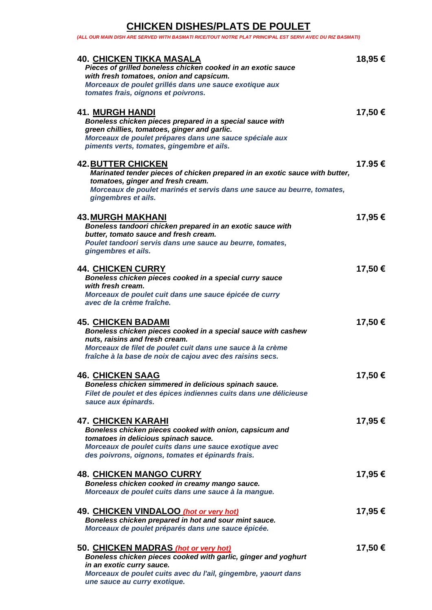## **CHICKEN DISHES/PLATS DE POULET**

*(ALL OUR MAIN DISH ARE SERVED WITH BASMATI RICE/TOUT NOTRE PLAT PRINCIPAL EST SERVI AVEC DU RIZ BASMATI)*

| <b>40. CHICKEN TIKKA MASALA</b><br>Pieces of grilled boneless chicken cooked in an exotic sauce<br>with fresh tomatoes, onion and capsicum.<br>Morceaux de poulet grillés dans une sauce exotique aux<br>tomates frais, oignons et poivrons.            | 18,95 € |
|---------------------------------------------------------------------------------------------------------------------------------------------------------------------------------------------------------------------------------------------------------|---------|
| <b>41. MURGH HANDI</b><br>Boneless chicken pieces prepared in a special sauce with<br>green chillies, tomatoes, ginger and garlic.<br>Morceaux de poulet prépares dans une sauce spéciale aux<br>piments verts, tomates, gingembre et ails.             | 17,50 € |
| <b>42. BUTTER CHICKEN</b><br>Marinated tender pieces of chicken prepared in an exotic sauce with butter,<br>tomatoes, ginger and fresh cream.<br>Morceaux de poulet marinés et servis dans une sauce au beurre, tomates,<br>gingembres et ails.         | 17.95 € |
| <b>43. MURGH MAKHANI</b><br>Boneless tandoori chicken prepared in an exotic sauce with<br>butter, tomato sauce and fresh cream.<br>Poulet tandoori servis dans une sauce au beurre, tomates,<br>gingembres et ails.                                     | 17,95 € |
| <b>44. CHICKEN CURRY</b><br>Boneless chicken pieces cooked in a special curry sauce<br>with fresh cream.<br>Morceaux de poulet cuit dans une sauce épicée de curry<br>avec de la crème fraîche.                                                         | 17,50 € |
| <b>45. CHICKEN BADAMI</b><br>Boneless chicken pieces cooked in a special sauce with cashew<br>nuts, raisins and fresh cream.<br>Morceaux de filet de poulet cuit dans une sauce à la crème<br>fraîche à la base de noix de cajou avec des raisins secs. | 17,50 € |
| <b>46. CHICKEN SAAG</b><br>Boneless chicken simmered in delicious spinach sauce.<br>Filet de poulet et des épices indiennes cuits dans une délicieuse<br>sauce aux épinards.                                                                            | 17,50€  |
| <b>47. CHICKEN KARAHI</b><br>Boneless chicken pieces cooked with onion, capsicum and<br>tomatoes in delicious spinach sauce.<br>Morceaux de poulet cuits dans une sauce exotique avec<br>des poivrons, oignons, tomates et épinards frais.              | 17,95 € |
| <b>48. CHICKEN MANGO CURRY</b><br>Boneless chicken cooked in creamy mango sauce.<br>Morceaux de poulet cuits dans une sauce à la mangue.                                                                                                                | 17,95 € |
| 49. CHICKEN VINDALOO (hot or very hot)<br>Boneless chicken prepared in hot and sour mint sauce.<br>Morceaux de poulet préparés dans une sauce épicée.                                                                                                   | 17,95 € |
| 50. CHICKEN MADRAS (hot or very hot)<br>Boneless chicken pieces cooked with garlic, ginger and yoghurt<br>in an exotic curry sauce.<br>Morceaux de poulet cuits avec du l'ail, gingembre, yaourt dans<br>une sauce au curry exotique.                   | 17,50 € |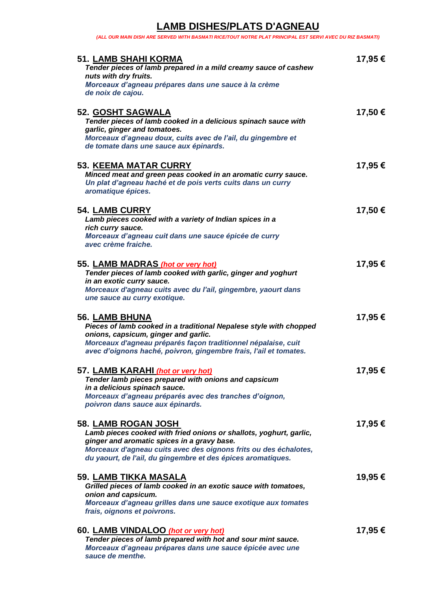### **LAMB DISHES/PLATS D'AGNEAU**

*(ALL OUR MAIN DISH ARE SERVED WITH BASMATI RICE/TOUT NOTRE PLAT PRINCIPAL EST SERVI AVEC DU RIZ BASMATI)*

| <b>51. LAMB SHAHI KORMA</b><br>Tender pieces of lamb prepared in a mild creamy sauce of cashew<br>nuts with dry fruits.                                                                                                                                                      | 17,95 € |
|------------------------------------------------------------------------------------------------------------------------------------------------------------------------------------------------------------------------------------------------------------------------------|---------|
| Morceaux d'agneau prépares dans une sauce à la crème<br>de noix de cajou.                                                                                                                                                                                                    |         |
| 52. GOSHT SAGWALA<br>Tender pieces of lamb cooked in a delicious spinach sauce with<br>garlic, ginger and tomatoes.<br>Morceaux d'agneau doux, cuits avec de l'ail, du gingembre et<br>de tomate dans une sauce aux épinards.                                                | 17,50€  |
| <b>53. KEEMA MATAR CURRY</b><br>Minced meat and green peas cooked in an aromatic curry sauce.<br>Un plat d'agneau haché et de pois verts cuits dans un curry<br>aromatique épices.                                                                                           | 17,95€  |
| <b>54. LAMB CURRY</b><br>Lamb pieces cooked with a variety of Indian spices in a<br>rich curry sauce.<br>Morceaux d'agneau cuit dans une sauce épicée de curry<br>avec crème fraiche.                                                                                        | 17,50€  |
| 55. LAMB MADRAS (hot or very hot)<br>Tender pieces of lamb cooked with garlic, ginger and yoghurt<br>in an exotic curry sauce.<br>Morceaux d'agneau cuits avec du l'ail, gingembre, yaourt dans<br>une sauce au curry exotique.                                              | 17,95€  |
| <b>56. LAMB BHUNA</b><br>Pieces of lamb cooked in a traditional Nepalese style with chopped<br>onions, capsicum, ginger and garlic.<br>Morceaux d'agneau préparés façon traditionnel népalaise, cuit<br>avec d'oignons haché, poivron, gingembre frais, l'ail et tomates.    | 17,95 € |
| 57. LAMB KARAHI (hot or very hot)<br>Tender lamb pieces prepared with onions and capsicum<br>in a delicious spinach sauce.<br>Morceaux d'agneau préparés avec des tranches d'oignon,<br>poivron dans sauce aux épinards.                                                     | 17,95 € |
| 58. LAMB ROGAN JOSH<br>Lamb pieces cooked with fried onions or shallots, yoghurt, garlic,<br>ginger and aromatic spices in a gravy base.<br>Morceaux d'agneau cuits avec des oignons frits ou des échalotes,<br>du yaourt, de l'ail, du gingembre et des épices aromatiques. | 17,95€  |
| <b>59. LAMB TIKKA MASALA</b><br>Grilled pieces of lamb cooked in an exotic sauce with tomatoes,<br>onion and capsicum.<br>Morceaux d'agneau grilles dans une sauce exotique aux tomates<br>frais, oignons et poivrons.                                                       | 19,95€  |
| 60. LAMB VINDALOO (hot or very hot)<br>Tender pieces of lamb prepared with hot and sour mint sauce.<br>Morceaux d'agneau prépares dans une sauce épicée avec une<br>sauce de menthe.                                                                                         | 17,95 € |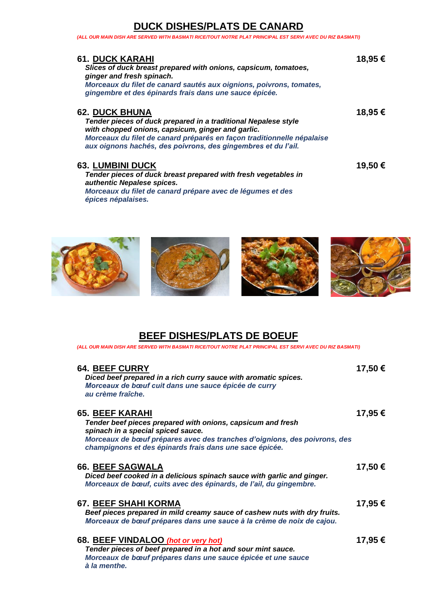#### **DUCK DISHES/PLATS DE CANARD**

*(ALL OUR MAIN DISH ARE SERVED WITH BASMATI RICE/TOUT NOTRE PLAT PRINCIPAL EST SERVI AVEC DU RIZ BASMATI)*

| <b>61. DUCK KARAHI</b><br>Slices of duck breast prepared with onions, capsicum, tomatoes,<br>ginger and fresh spinach.<br>Morceaux du filet de canard sautés aux oignions, poivrons, tomates,<br>gingembre et des épinards frais dans une sauce épicée.                                 | 18,95 € |
|-----------------------------------------------------------------------------------------------------------------------------------------------------------------------------------------------------------------------------------------------------------------------------------------|---------|
| <b>62. DUCK BHUNA</b><br>Tender pieces of duck prepared in a traditional Nepalese style<br>with chopped onions, capsicum, ginger and garlic.<br>Morceaux du filet de canard préparés en façon traditionnelle népalaise<br>aux oignons hachés, des poivrons, des gingembres et du l'ail. | 18,95 € |
| <b>63. LUMBINI DUCK</b><br>Tender pieces of duck breast prepared with fresh vegetables in<br>authentic Nepalese spices.<br>Morceaux du filet de canard prépare avec de légumes et des                                                                                                   | 19,50 € |



*épices népalaises.*







### **BEEF DISHES/PLATS DE BOEUF**

*(ALL OUR MAIN DISH ARE SERVED WITH BASMATI RICE/TOUT NOTRE PLAT PRINCIPAL EST SERVI AVEC DU RIZ BASMATI)*

| <b>64. BEEF CURRY</b><br>Diced beef prepared in a rich curry sauce with aromatic spices.<br>Morceaux de bœuf cuit dans une sauce épicée de curry<br>au crème fraîche.                                                                                               | 17,50 € |
|---------------------------------------------------------------------------------------------------------------------------------------------------------------------------------------------------------------------------------------------------------------------|---------|
| <b>65. BEEF KARAHI</b><br>Tender beef pieces prepared with onions, capsicum and fresh<br>spinach in a special spiced sauce.<br>Morceaux de bœuf prépares avec des tranches d'oignions, des poivrons, des<br>champignons et des épinards frais dans une sace épicée. | 17,95 € |
| 66. BEEF SAGWALA<br>Diced beef cooked in a delicious spinach sauce with garlic and ginger.<br>Morceaux de bœuf, cuits avec des épinards, de l'ail, du gingembre.                                                                                                    | 17,50 € |
| <b>67. BEEF SHAHI KORMA</b><br>Beef pieces prepared in mild creamy sauce of cashew nuts with dry fruits.<br>Morceaux de bœuf prépares dans une sauce à la crème de noix de cajou.                                                                                   | 17,95 € |
| 68. BEEF VINDALOO (hot or very hot)<br>Tender pieces of beef prepared in a hot and sour mint sauce.<br>Morceaux de bœuf prépares dans une sauce épicée et une sauce<br>à la menthe.                                                                                 | 17,95 € |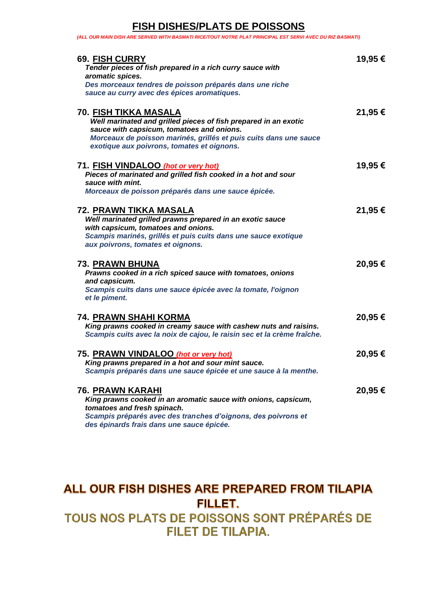#### **FISH DISHES/PLATS DE POISSONS**

*(ALL OUR MAIN DISH ARE SERVED WITH BASMATI RICE/TOUT NOTRE PLAT PRINCIPAL EST SERVI AVEC DU RIZ BASMATI)*

| <b>69. FISH CURRY</b><br>Tender pieces of fish prepared in a rich curry sauce with<br>aromatic spices.<br>Des morceaux tendres de poisson préparés dans une riche<br>sauce au curry avec des épices aromatiques.                                                | 19,95 € |
|-----------------------------------------------------------------------------------------------------------------------------------------------------------------------------------------------------------------------------------------------------------------|---------|
| <b>70. FISH TIKKA MASALA</b><br>Well marinated and grilled pieces of fish prepared in an exotic<br>sauce with capsicum, tomatoes and onions.<br>Morceaux de poisson marinés, grillés et puis cuits dans une sauce<br>exotique aux poivrons, tomates et oignons. | 21,95 € |
| 71. FISH VINDALOO (hot or very hot)<br>Pieces of marinated and grilled fish cooked in a hot and sour<br>sauce with mint.<br>Morceaux de poisson préparés dans une sauce épicée.                                                                                 | 19,95 € |
| <u>72. PRAWN TIKKA MASALA</u><br>Well marinated grilled prawns prepared in an exotic sauce<br>with capsicum, tomatoes and onions.<br>Scampis marinés, grillés et puis cuits dans une sauce exotique<br>aux poivrons, tomates et oignons.                        | 21,95€  |
| 73. PRAWN BHUNA<br>Prawns cooked in a rich spiced sauce with tomatoes, onions<br>and capsicum.<br>Scampis cuits dans une sauce épicée avec la tomate, l'oignon<br>et le piment.                                                                                 | 20,95€  |
| 74. PRAWN SHAHI KORMA<br>King prawns cooked in creamy sauce with cashew nuts and raisins.<br>Scampis cuits avec la noix de cajou, le raisin sec et la crème fraîche.                                                                                            | 20,95€  |
| 75. PRAWN VINDALOO (hot or very hot)<br>King prawns prepared in a hot and sour mint sauce.<br>Scampis préparés dans une sauce épicée et une sauce à la menthe.                                                                                                  | 20,95€  |
| <b>76. PRAWN KARAHI</b><br>King prawns cooked in an aromatic sauce with onions, capsicum,<br>tomatoes and fresh spinach.<br>Scampis préparés avec des tranches d'oignons, des poivrons et<br>des épinards frais dans une sauce épicée.                          | 20,95€  |

# ALL OUR FISH DISHES ARE PREPARED FROM TILAPIA **FILLET.**

TOUS NOS PLATS DE POISSONS SONT PRÉPARÉS DE **FILET DE TILAPIA.**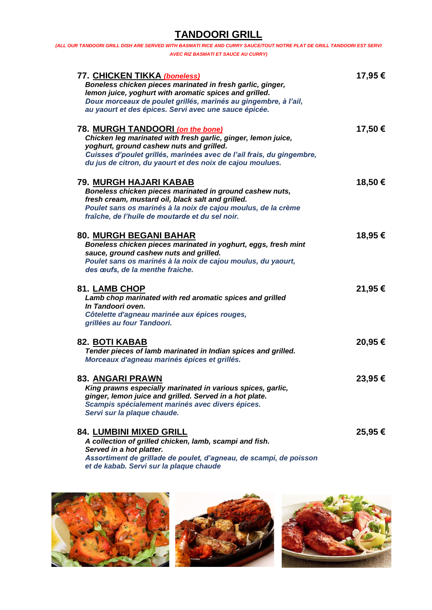## **TANDOORI GRILL**

| 77. CHICKEN TIKKA (boneless)                                          | 17,95 € |
|-----------------------------------------------------------------------|---------|
| Boneless chicken pieces marinated in fresh garlic, ginger,            |         |
| lemon juice, yoghurt with aromatic spices and grilled.                |         |
| Doux morceaux de poulet grillés, marinés au gingembre, à l'ail,       |         |
| au yaourt et des épices. Servi avec une sauce épicée.                 |         |
| 78. MURGH TANDOORI (on the bone)                                      | 17,50€  |
| Chicken leg marinated with fresh garlic, ginger, lemon juice,         |         |
| yoghurt, ground cashew nuts and grilled.                              |         |
| Cuisses d'poulet grillés, marinées avec de l'ail frais, du gingembre, |         |
| du jus de citron, du yaourt et des noix de cajou moulues.             |         |
| 79. MURGH HAJARI KABAB                                                | 18,50€  |
| Boneless chicken pieces marinated in ground cashew nuts,              |         |
| fresh cream, mustard oil, black salt and grilled.                     |         |
| Poulet sans os marinés à la noix de cajou moulus, de la crème         |         |
| fraîche, de l'huile de moutarde et du sel noir.                       |         |
| 80. MURGH BEGANI BAHAR                                                | 18,95 € |
| Boneless chicken pieces marinated in yoghurt, eggs, fresh mint        |         |
| sauce, ground cashew nuts and grilled.                                |         |
| Poulet sans os marinés à la noix de cajou moulus, du yaourt,          |         |
| des œufs, de la menthe fraiche.                                       |         |
| <b>81. LAMB CHOP</b>                                                  | 21,95€  |
| Lamb chop marinated with red aromatic spices and grilled              |         |
| In Tandoori oven.                                                     |         |
| Côtelette d'agneau marinée aux épices rouges,                         |         |
| grillées au four Tandoori.                                            |         |
| <b>82. BOTI KABAB</b>                                                 | 20,95€  |
| Tender pieces of lamb marinated in Indian spices and grilled.         |         |
| Morceaux d'agneau marinés épices et grillés.                          |         |
| 83. ANGARI PRAWN                                                      | 23,95 € |
| King prawns especially marinated in various spices, garlic,           |         |
| ginger, lemon juice and grilled. Served in a hot plate.               |         |
| Scampis spécialement marinés avec divers épices.                      |         |
| Servi sur la plaque chaude.                                           |         |
| <b>84. LUMBINI MIXED GRILL</b>                                        | 25,95 € |
| A collection of grilled chicken, lamb, scampi and fish.               |         |
| Served in a hot platter.                                              |         |

*Assortiment de grillade de poulet, d'agneau, de scampi, de poisson et de kabab. Servi sur la plaque chaude*





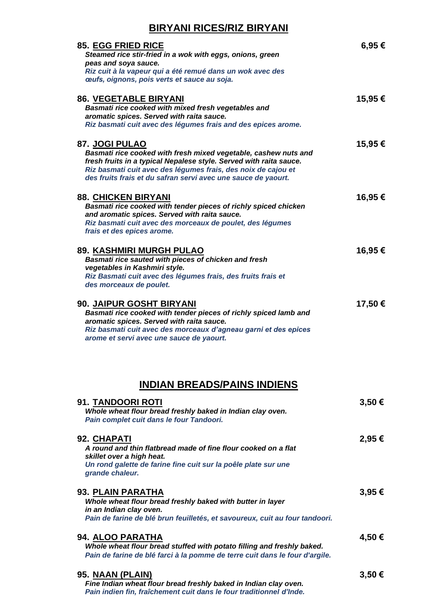#### **BIRYANI RICES/RIZ BIRYANI**

| 85. EGG FRIED RICE<br>Steamed rice stir-fried in a wok with eggs, onions, green<br>peas and soya sauce.<br>Riz cuit à la vapeur qui a été remué dans un wok avec des<br>œufs, oignons, pois verts et sauce au soja.                                                                       | 6,95 €  |
|-------------------------------------------------------------------------------------------------------------------------------------------------------------------------------------------------------------------------------------------------------------------------------------------|---------|
| <b>86. VEGETABLE BIRYANI</b><br>Basmati rice cooked with mixed fresh vegetables and<br>aromatic spices. Served with raita sauce.<br>Riz basmati cuit avec des légumes frais and des epices arome.                                                                                         | 15,95 € |
| 87. JOGI PULAO<br>Basmati rice cooked with fresh mixed vegetable, cashew nuts and<br>fresh fruits in a typical Nepalese style. Served with raita sauce.<br>Riz basmati cuit avec des légumes frais, des noix de cajou et<br>des fruits frais et du safran servi avec une sauce de yaourt. | 15,95€  |
| <b>88. CHICKEN BIRYANI</b><br>Basmati rice cooked with tender pieces of richly spiced chicken<br>and aromatic spices. Served with raita sauce.<br>Riz basmati cuit avec des morceaux de poulet, des légumes<br>frais et des epices arome.                                                 | 16,95€  |
| 89. KASHMIRI MURGH PULAO<br>Basmati rice sauted with pieces of chicken and fresh<br>vegetables in Kashmiri style.<br>Riz Basmati cuit avec des légumes frais, des fruits frais et<br>des morceaux de poulet.                                                                              | 16,95 € |
| 90. JAIPUR GOSHT BIRYANI<br>Basmati rice cooked with tender pieces of richly spiced lamb and<br>aromatic spices. Served with raita sauce.<br>Riz basmati cuit avec des morceaux d'agneau garni et des epices<br>arome et servi avec une sauce de yaourt.                                  | 17,50€  |
| <b>INDIAN BREADS/PAINS INDIENS</b>                                                                                                                                                                                                                                                        |         |
| 91. TANDOORI ROTI<br>Whole wheat flour bread freshly baked in Indian clay oven.<br>Pain complet cuit dans le four Tandoori.                                                                                                                                                               | 3,50€   |
| 92. CHAPATI<br>A round and thin flatbread made of fine flour cooked on a flat<br>skillet over a high heat.<br>Un rond galette de farine fine cuit sur la poêle plate sur une<br>grande chaleur.                                                                                           | 2,95€   |
| 93. PLAIN PARATHA<br>Whole wheat flour bread freshly baked with butter in layer<br>in an Indian clay oven.<br>Pain de farine de blé brun feuilletés, et savoureux, cuit au four tandoori.                                                                                                 | 3,95€   |
| 94. ALOO PARATHA<br>Whole wheat flour bread stuffed with potato filling and freshly baked.<br>Pain de farine de blé farci à la pomme de terre cuit dans le four d'argile.                                                                                                                 | 4,50€   |
| 95. NAAN (PLAIN)<br>Fine Indian wheat flour bread freshly baked in Indian clay oven.                                                                                                                                                                                                      | 3,50€   |

*Pain indien fin, fraîchement cuit dans le four traditionnel d'Inde.*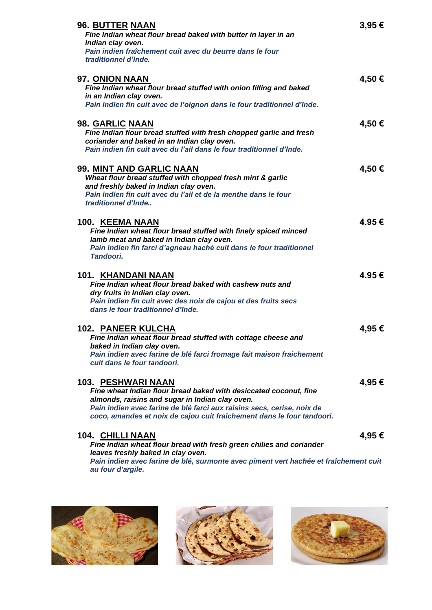| 96. BUTTER NAAN<br>Fine Indian wheat flour bread baked with butter in layer in an<br>Indian clay oven.<br>Pain indien fraîchement cuit avec du beurre dans le four<br>traditionnel d'Inde.                                                                                                     | 3,95€  |
|------------------------------------------------------------------------------------------------------------------------------------------------------------------------------------------------------------------------------------------------------------------------------------------------|--------|
| 97. ONION NAAN<br>Fine Indian wheat flour bread stuffed with onion filling and baked<br>in an Indian clay oven.<br>Pain indien fin cuit avec de l'oignon dans le four traditionnel d'Inde.                                                                                                     | 4,50€  |
| 98. GARLIC NAAN<br>Fine Indian flour bread stuffed with fresh chopped garlic and fresh<br>coriander and baked in an Indian clay oven.<br>Pain indien fin cuit avec du l'ail dans le four traditionnel d'Inde.                                                                                  | 4,50€  |
| 99. MINT AND GARLIC NAAN<br>Wheat flour bread stuffed with chopped fresh mint & garlic<br>and freshly baked in Indian clay oven.<br>Pain indien fin cuit avec du l'ail et de la menthe dans le four<br>traditionnel d'Inde                                                                     | 4,50€  |
| 100. KEEMA NAAN<br>Fine Indian wheat flour bread stuffed with finely spiced minced<br>lamb meat and baked in Indian clay oven.<br>Pain indien fin farci d'agneau haché cuit dans le four traditionnel<br>Tandoori.                                                                             | 4.95€  |
| 101. KHANDANI NAAN<br>Fine Indian wheat flour bread baked with cashew nuts and<br>dry fruits in Indian clay oven.<br>Pain indien fin cuit avec des noix de cajou et des fruits secs<br>dans le four traditionnel d'Inde.                                                                       | 4.95 € |
| <b>102. PANEER KULCHA</b><br>Fine Indian wheat flour bread stuffed with cottage cheese and<br>baked in Indian clay oven.<br>Pain indien avec farine de blé farci fromage fait maison fraichement<br>cuit dans le four tandoori.                                                                | 4,95 € |
| 103. PESHWARI NAAN<br>Fine wheat Indian flour bread baked with desiccated coconut, fine<br>almonds, raisins and sugar in Indian clay oven.<br>Pain indien avec farine de blé farci aux raisins secs, cerise, noix de<br>coco, amandes et noix de cajou cuit fraichement dans le four tandoori. | 4,95 € |
| 104. CHILLI NAAN<br>Fine Indian wheat flour bread with fresh green chilies and coriander<br>leaves freshly baked in clay oven.                                                                                                                                                                 | 4,95 € |

Pain indien avec farine de blé, surmonte avec piment vert hachée et fraîchement cuit *au four d'argile.*